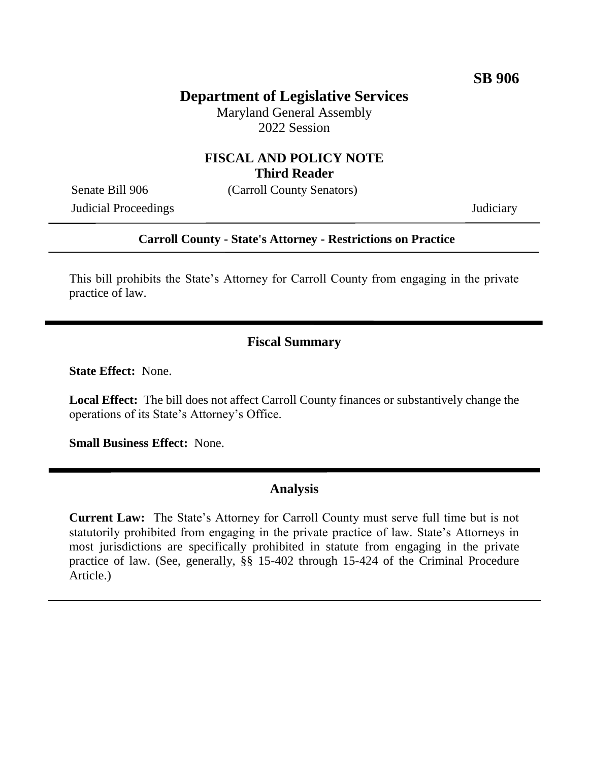# **Department of Legislative Services**

Maryland General Assembly 2022 Session

### **FISCAL AND POLICY NOTE Third Reader**

Senate Bill 906 (Carroll County Senators)

Judicial Proceedings Judiciary

#### **Carroll County - State's Attorney - Restrictions on Practice**

This bill prohibits the State's Attorney for Carroll County from engaging in the private practice of law.

### **Fiscal Summary**

**State Effect:** None.

**Local Effect:** The bill does not affect Carroll County finances or substantively change the operations of its State's Attorney's Office.

**Small Business Effect:** None.

### **Analysis**

**Current Law:** The State's Attorney for Carroll County must serve full time but is not statutorily prohibited from engaging in the private practice of law. State's Attorneys in most jurisdictions are specifically prohibited in statute from engaging in the private practice of law. (See, generally, §§ 15-402 through 15-424 of the Criminal Procedure Article.)